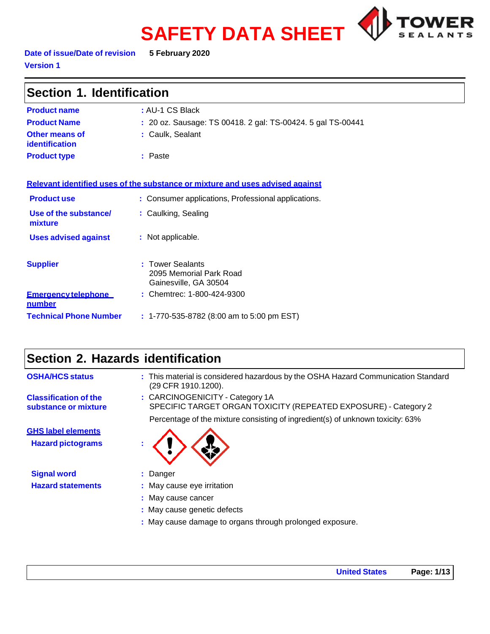# **SAFETY DATA SHEET**



**Date of issue/Date of revision 5 February 2020 Version 1**

| Section 1. Identification                   |                                                                               |  |
|---------------------------------------------|-------------------------------------------------------------------------------|--|
| <b>Product name</b>                         | : AU-1 CS Black                                                               |  |
| <b>Product Name</b>                         | : 20 oz. Sausage: TS 00418. 2 gal: TS-00424. 5 gal TS-00441                   |  |
| Other means of<br>identification            | : Caulk, Sealant                                                              |  |
| <b>Product type</b>                         | : Paste                                                                       |  |
|                                             | Relevant identified uses of the substance or mixture and uses advised against |  |
| <b>Product use</b>                          | : Consumer applications, Professional applications.                           |  |
| Use of the substance/<br>mixture            | : Caulking, Sealing                                                           |  |
| <b>Uses advised against</b>                 | : Not applicable.                                                             |  |
| <b>Supplier</b>                             | : Tower Sealants<br>2095 Memorial Park Road<br>Gainesville, GA 30504          |  |
| <b>Emergency telephone</b><br><u>number</u> | : Chemtrec: 1-800-424-9300                                                    |  |
| <b>Technical Phone Number</b>               | : 1-770-535-8782 (8:00 am to 5:00 pm EST)                                     |  |

# **Section 2. Hazards identification**

| <b>OSHA/HCS status</b>                                | : This material is considered hazardous by the OSHA Hazard Communication Standard<br>(29 CFR 1910.1200). |
|-------------------------------------------------------|----------------------------------------------------------------------------------------------------------|
| <b>Classification of the</b><br>substance or mixture  | : CARCINOGENICITY - Category 1A<br>SPECIFIC TARGET ORGAN TOXICITY (REPEATED EXPOSURE) - Category 2       |
|                                                       | Percentage of the mixture consisting of ingredient(s) of unknown toxicity: 63%                           |
| <b>GHS label elements</b><br><b>Hazard pictograms</b> |                                                                                                          |
| <b>Signal word</b>                                    | : Danger                                                                                                 |
| <b>Hazard statements</b>                              | : May cause eye irritation                                                                               |
|                                                       | : May cause cancer                                                                                       |
|                                                       | : May cause genetic defects                                                                              |
|                                                       | . Mau sausa damaga ta sensa thesunk pelanga daun saus                                                    |

**:** May cause damage to organs through prolonged exposure.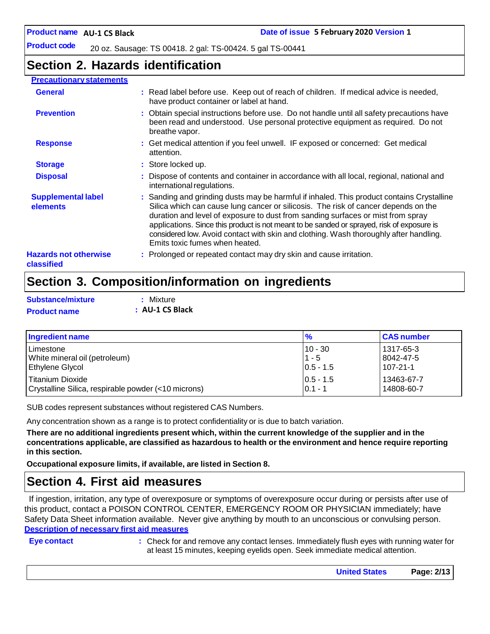**Product code** 20 oz. Sausage: TS 00418. 2 gal: TS-00424. 5 gal TS-00441

### **Section 2. Hazards identification**

#### **Precautionary statements**

| <b>General</b>                             | : Read label before use. Keep out of reach of children. If medical advice is needed,<br>have product container or label at hand.                                                                                                                                                                                                                                                                                                                                                            |
|--------------------------------------------|---------------------------------------------------------------------------------------------------------------------------------------------------------------------------------------------------------------------------------------------------------------------------------------------------------------------------------------------------------------------------------------------------------------------------------------------------------------------------------------------|
| <b>Prevention</b>                          | : Obtain special instructions before use. Do not handle until all safety precautions have<br>been read and understood. Use personal protective equipment as required. Do not<br>breathe vapor.                                                                                                                                                                                                                                                                                              |
| <b>Response</b>                            | : Get medical attention if you feel unwell. IF exposed or concerned: Get medical<br>attention.                                                                                                                                                                                                                                                                                                                                                                                              |
| <b>Storage</b>                             | : Store locked up.                                                                                                                                                                                                                                                                                                                                                                                                                                                                          |
| <b>Disposal</b>                            | : Dispose of contents and container in accordance with all local, regional, national and<br>international regulations.                                                                                                                                                                                                                                                                                                                                                                      |
| <b>Supplemental label</b><br>elements      | : Sanding and grinding dusts may be harmful if inhaled. This product contains Crystalline<br>Silica which can cause lung cancer or silicosis. The risk of cancer depends on the<br>duration and level of exposure to dust from sanding surfaces or mist from spray<br>applications. Since this product is not meant to be sanded or sprayed, risk of exposure is<br>considered low. Avoid contact with skin and clothing. Wash thoroughly after handling.<br>Emits toxic fumes when heated. |
| <b>Hazards not otherwise</b><br>classified | : Prolonged or repeated contact may dry skin and cause irritation.                                                                                                                                                                                                                                                                                                                                                                                                                          |

### **Section 3. Composition/information on ingredients**

| Substance/mixture   | : Mixture       |
|---------------------|-----------------|
| <b>Product name</b> | : AU-1 CS Black |

| Ingredient name                                     | $\frac{9}{6}$ | <b>CAS number</b> |
|-----------------------------------------------------|---------------|-------------------|
| l Limestone                                         | $10 - 30$     | l 1317-65-3       |
| White mineral oil (petroleum)                       | $1 - 5$       | 8042-47-5         |
| <b>Ethylene Glycol</b>                              | $ 0.5 - 1.5 $ | $107 - 21 - 1$    |
| Titanium Dioxide                                    | $10.5 - 1.5$  | 13463-67-7        |
| Crystalline Silica, respirable powder (<10 microns) | $0.1 - 1$     | 14808-60-7        |

SUB codes represent substances without registered CAS Numbers.

Any concentration shown as a range is to protect confidentiality or is due to batch variation.

There are no additional ingredients present which, within the current knowledge of the supplier and in the **concentrations applicable, are classified as hazardous to health or the environment and hence require reporting in this section.**

**Occupational exposure limits, if available, are listed in Section 8.**

### **Section 4. First aid measures**

If ingestion, irritation, any type of overexposure or symptoms of overexposure occur during or persists after use of this product, contact a POISON CONTROL CENTER, EMERGENCY ROOM OR PHYSICIAN immediately; have Safety Data Sheet information available. Never give anything by mouth to an unconscious or convulsing person. **Description of necessary first aid measures**

**Eye contact :** Check for and remove any contact lenses. Immediately flush eyes with running water for at least 15 minutes, keeping eyelids open. Seek immediate medical attention.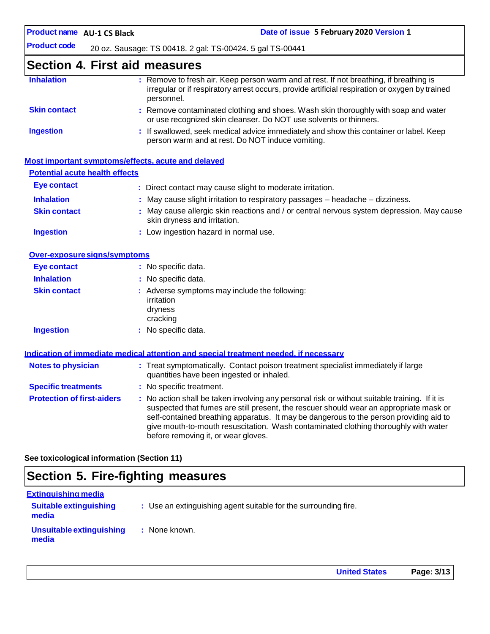**AU-1 CS Black Date of issue 5 February 2020 Version 1**

**Product code** 20 oz. Sausage: TS 00418. 2 gal: TS-00424. 5 gal TS-00441

### **Section 4. First aid measures**

| <b>Inhalation</b>   | : Remove to fresh air. Keep person warm and at rest. If not breathing, if breathing is<br>irregular or if respiratory arrest occurs, provide artificial respiration or oxygen by trained<br>personnel. |
|---------------------|--------------------------------------------------------------------------------------------------------------------------------------------------------------------------------------------------------|
| <b>Skin contact</b> | : Remove contaminated clothing and shoes. Wash skin thoroughly with soap and water<br>or use recognized skin cleanser. Do NOT use solvents or thinners.                                                |
| <b>Ingestion</b>    | : If swallowed, seek medical advice immediately and show this container or label. Keep<br>person warm and at rest. Do NOT induce vomiting.                                                             |

#### **Most important symptoms/effects, acute and delayed**

#### **Potential acute health effects**

| Eye contact         | : Direct contact may cause slight to moderate irritation.                                                                 |
|---------------------|---------------------------------------------------------------------------------------------------------------------------|
| <b>Inhalation</b>   | $:$ May cause slight irritation to respiratory passages $-$ headache $-$ dizziness.                                       |
| <b>Skin contact</b> | : May cause allergic skin reactions and / or central nervous system depression. May cause<br>skin dryness and irritation. |
| <b>Ingestion</b>    | : Low ingestion hazard in normal use.                                                                                     |

#### **Over-exposuresigns/symptoms**

| Eye contact         | : No specific data.                                                                |
|---------------------|------------------------------------------------------------------------------------|
| <b>Inhalation</b>   | : No specific data.                                                                |
| <b>Skin contact</b> | : Adverse symptoms may include the following:<br>irritation<br>dryness<br>cracking |
| <b>Ingestion</b>    | : No specific data.                                                                |

|                                   | <u>Indication of immediate medical attention and special treatment needed, if necessary</u>                                                                                                                                                                                                                                                                                                                     |
|-----------------------------------|-----------------------------------------------------------------------------------------------------------------------------------------------------------------------------------------------------------------------------------------------------------------------------------------------------------------------------------------------------------------------------------------------------------------|
| <b>Notes to physician</b>         | : Treat symptomatically. Contact poison treatment specialist immediately if large<br>quantities have been ingested or inhaled.                                                                                                                                                                                                                                                                                  |
| <b>Specific treatments</b>        | : No specific treatment.                                                                                                                                                                                                                                                                                                                                                                                        |
| <b>Protection of first-aiders</b> | : No action shall be taken involving any personal risk or without suitable training. If it is<br>suspected that fumes are still present, the rescuer should wear an appropriate mask or<br>self-contained breathing apparatus. It may be dangerous to the person providing aid to<br>give mouth-to-mouth resuscitation. Wash contaminated clothing thoroughly with water<br>before removing it, or wear gloves. |

**See toxicological information (Section 11)**

# **Section 5. Fire-fighting measures**

| <b>Extinguishing media</b>             |                                                                 |
|----------------------------------------|-----------------------------------------------------------------|
| <b>Suitable extinguishing</b><br>media | : Use an extinguishing agent suitable for the surrounding fire. |
| Unsuitable extinguishing<br>media      | : None known.                                                   |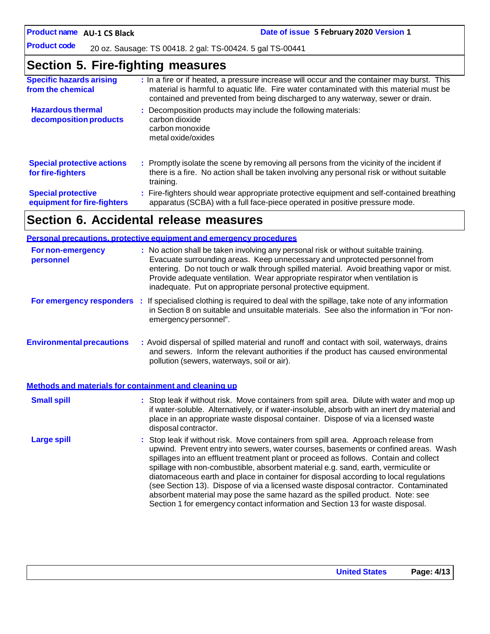**Product code**

20 oz. Sausage: TS 00418. 2 gal: TS-00424. 5 gal TS-00441

### **Section 5. Fire-fighting measures**

| <b>Specific hazards arising</b><br>from the chemical     | : In a fire or if heated, a pressure increase will occur and the container may burst. This<br>material is harmful to aquatic life. Fire water contaminated with this material must be<br>contained and prevented from being discharged to any waterway, sewer or drain. |
|----------------------------------------------------------|-------------------------------------------------------------------------------------------------------------------------------------------------------------------------------------------------------------------------------------------------------------------------|
| <b>Hazardous thermal</b><br>decomposition products       | : Decomposition products may include the following materials:<br>carbon dioxide<br>carbon monoxide<br>metal oxide/oxides                                                                                                                                                |
| <b>Special protective actions</b><br>for fire-fighters   | : Promptly isolate the scene by removing all persons from the vicinity of the incident if<br>there is a fire. No action shall be taken involving any personal risk or without suitable<br>training.                                                                     |
| <b>Special protective</b><br>equipment for fire-fighters | : Fire-fighters should wear appropriate protective equipment and self-contained breathing<br>apparatus (SCBA) with a full face-piece operated in positive pressure mode.                                                                                                |

# **Section 6. Accidental release measures**

|                                                       | <b>Personal precautions, protective equipment and emergency procedures</b>                                                                                                                                                                                                                                                                                                                                                                                                                                                                                                                                                                                                                                   |
|-------------------------------------------------------|--------------------------------------------------------------------------------------------------------------------------------------------------------------------------------------------------------------------------------------------------------------------------------------------------------------------------------------------------------------------------------------------------------------------------------------------------------------------------------------------------------------------------------------------------------------------------------------------------------------------------------------------------------------------------------------------------------------|
| For non-emergency<br>personnel                        | : No action shall be taken involving any personal risk or without suitable training.<br>Evacuate surrounding areas. Keep unnecessary and unprotected personnel from<br>entering. Do not touch or walk through spilled material. Avoid breathing vapor or mist.<br>Provide adequate ventilation. Wear appropriate respirator when ventilation is<br>inadequate. Put on appropriate personal protective equipment.                                                                                                                                                                                                                                                                                             |
|                                                       | For emergency responders : If specialised clothing is required to deal with the spillage, take note of any information<br>in Section 8 on suitable and unsuitable materials. See also the information in "For non-<br>emergency personnel".                                                                                                                                                                                                                                                                                                                                                                                                                                                                  |
| <b>Environmental precautions</b>                      | : Avoid dispersal of spilled material and runoff and contact with soil, waterways, drains<br>and sewers. Inform the relevant authorities if the product has caused environmental<br>pollution (sewers, waterways, soil or air).                                                                                                                                                                                                                                                                                                                                                                                                                                                                              |
| Methods and materials for containment and cleaning up |                                                                                                                                                                                                                                                                                                                                                                                                                                                                                                                                                                                                                                                                                                              |
| <b>Small spill</b>                                    | : Stop leak if without risk. Move containers from spill area. Dilute with water and mop up<br>if water-soluble. Alternatively, or if water-insoluble, absorb with an inert dry material and<br>place in an appropriate waste disposal container. Dispose of via a licensed waste<br>disposal contractor.                                                                                                                                                                                                                                                                                                                                                                                                     |
| <b>Large spill</b>                                    | : Stop leak if without risk. Move containers from spill area. Approach release from<br>upwind. Prevent entry into sewers, water courses, basements or confined areas. Wash<br>spillages into an effluent treatment plant or proceed as follows. Contain and collect<br>spillage with non-combustible, absorbent material e.g. sand, earth, vermiculite or<br>diatomaceous earth and place in container for disposal according to local regulations<br>(see Section 13). Dispose of via a licensed waste disposal contractor. Contaminated<br>absorbent material may pose the same hazard as the spilled product. Note: see<br>Section 1 for emergency contact information and Section 13 for waste disposal. |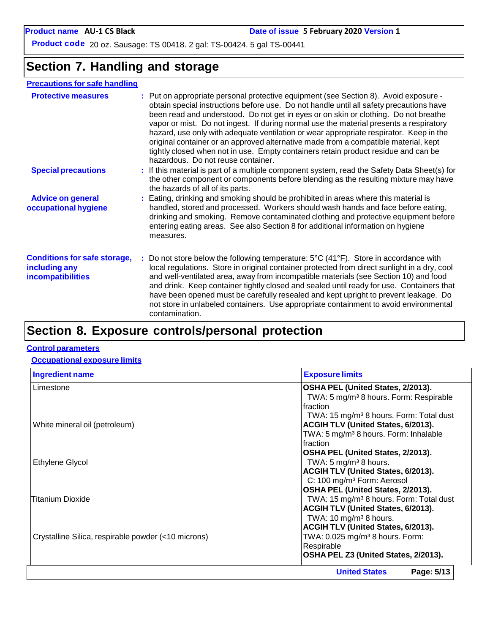**Product code** 20 oz. Sausage: TS 00418. 2 gal: TS-00424. 5 gal TS-00441

### **Section 7. Handling and storage**

### **Precautions for safe handling**

| <b>Protective measures</b>                                                | : Put on appropriate personal protective equipment (see Section 8). Avoid exposure -<br>obtain special instructions before use. Do not handle until all safety precautions have<br>been read and understood. Do not get in eyes or on skin or clothing. Do not breathe<br>vapor or mist. Do not ingest. If during normal use the material presents a respiratory<br>hazard, use only with adequate ventilation or wear appropriate respirator. Keep in the<br>original container or an approved alternative made from a compatible material, kept<br>tightly closed when not in use. Empty containers retain product residue and can be<br>hazardous. Do not reuse container. |
|---------------------------------------------------------------------------|-------------------------------------------------------------------------------------------------------------------------------------------------------------------------------------------------------------------------------------------------------------------------------------------------------------------------------------------------------------------------------------------------------------------------------------------------------------------------------------------------------------------------------------------------------------------------------------------------------------------------------------------------------------------------------|
| <b>Special precautions</b>                                                | : If this material is part of a multiple component system, read the Safety Data Sheet(s) for<br>the other component or components before blending as the resulting mixture may have<br>the hazards of all of its parts.                                                                                                                                                                                                                                                                                                                                                                                                                                                       |
| <b>Advice on general</b><br>occupational hygiene                          | : Eating, drinking and smoking should be prohibited in areas where this material is<br>handled, stored and processed. Workers should wash hands and face before eating,<br>drinking and smoking. Remove contaminated clothing and protective equipment before<br>entering eating areas. See also Section 8 for additional information on hygiene<br>measures.                                                                                                                                                                                                                                                                                                                 |
| <b>Conditions for safe storage,</b><br>including any<br>incompatibilities | : Do not store below the following temperature: $5^{\circ}C(41^{\circ}F)$ . Store in accordance with<br>local regulations. Store in original container protected from direct sunlight in a dry, cool<br>and well-ventilated area, away from incompatible materials (see Section 10) and food<br>and drink. Keep container tightly closed and sealed until ready for use. Containers that<br>have been opened must be carefully resealed and kept upright to prevent leakage. Do<br>not store in unlabeled containers. Use appropriate containment to avoid environmental<br>contamination.                                                                                    |
|                                                                           |                                                                                                                                                                                                                                                                                                                                                                                                                                                                                                                                                                                                                                                                               |

# **Section 8. Exposure controls/personal protection**

#### **Control parameters**

#### **Occupational exposure limits**

| <b>Ingredient name</b>                              | <b>Exposure limits</b>                              |
|-----------------------------------------------------|-----------------------------------------------------|
| Limestone                                           | OSHA PEL (United States, 2/2013).                   |
|                                                     | TWA: 5 mg/m <sup>3</sup> 8 hours. Form: Respirable  |
|                                                     | Ifraction                                           |
|                                                     | TWA: 15 mg/m <sup>3</sup> 8 hours. Form: Total dust |
| White mineral oil (petroleum)                       | <b>ACGIH TLV (United States, 6/2013).</b>           |
|                                                     | TWA: 5 mg/m <sup>3</sup> 8 hours. Form: Inhalable   |
|                                                     | Ifraction                                           |
|                                                     | OSHA PEL (United States, 2/2013).                   |
| <b>Ethylene Glycol</b>                              | TWA: $5 \text{ mg/m}^3$ 8 hours.                    |
|                                                     | ACGIH TLV (United States, 6/2013).                  |
|                                                     | C: 100 mg/m <sup>3</sup> Form: Aerosol              |
|                                                     | OSHA PEL (United States, 2/2013).                   |
| Titanium Dioxide                                    | TWA: 15 mg/m <sup>3</sup> 8 hours. Form: Total dust |
|                                                     | ACGIH TLV (United States, 6/2013).                  |
|                                                     | TWA: $10 \text{ mg/m}^3$ 8 hours.                   |
|                                                     | ACGIH TLV (United States, 6/2013).                  |
| Crystalline Silica, respirable powder (<10 microns) | TWA: 0.025 mg/m <sup>3</sup> 8 hours. Form:         |
|                                                     | Respirable                                          |
|                                                     | OSHA PEL Z3 (United States, 2/2013).                |
|                                                     | Page: 5/13<br><b>United States</b>                  |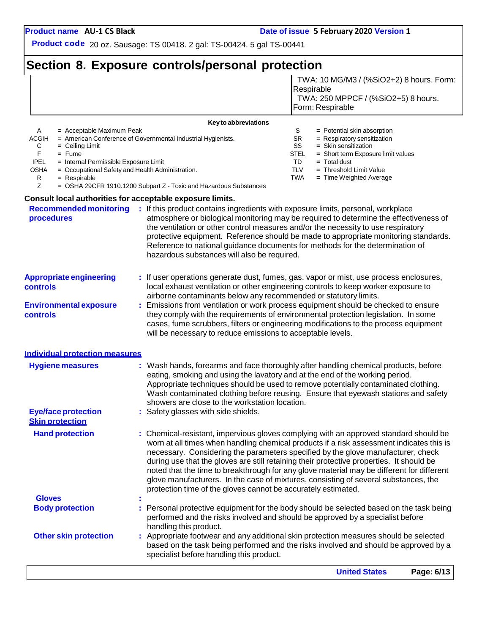TWA: 10 MG/M3 / (%SiO2+2) 8 hours. Form:

**Product code** 20 oz. Sausage: TS 00418. 2 gal: TS-00424. 5 gal TS-00441

# **Section 8. Exposure controls/personal protection**

|                                                                                                                                                                                                                                            |                                                                                                                                                                                                                                                                                                       | Respirable<br>TWA: 250 MPPCF / (%SiO2+5) 8 hours.<br>Form: Respirable                                                                                                                                                                                                                                                                                                                                                                                     |
|--------------------------------------------------------------------------------------------------------------------------------------------------------------------------------------------------------------------------------------------|-------------------------------------------------------------------------------------------------------------------------------------------------------------------------------------------------------------------------------------------------------------------------------------------------------|-----------------------------------------------------------------------------------------------------------------------------------------------------------------------------------------------------------------------------------------------------------------------------------------------------------------------------------------------------------------------------------------------------------------------------------------------------------|
|                                                                                                                                                                                                                                            |                                                                                                                                                                                                                                                                                                       |                                                                                                                                                                                                                                                                                                                                                                                                                                                           |
| A<br>= Acceptable Maximum Peak<br>ACGIH<br>С<br>$=$ Ceiling Limit<br>F.<br>$=$ Fume<br><b>IPEL</b><br>= Internal Permissible Exposure Limit<br><b>OSHA</b><br>= Occupational Safety and Health Administration.<br>R<br>$=$ Respirable<br>Z | Key to abbreviations<br>= American Conference of Governmental Industrial Hygienists.<br>= OSHA 29CFR 1910.1200 Subpart Z - Toxic and Hazardous Substances                                                                                                                                             | S<br>= Potential skin absorption<br>SR<br>= Respiratory sensitization<br>SS<br>= Skin sensitization<br>STEL<br>= Short term Exposure limit values<br>TD<br>$=$ Total dust<br><b>TLV</b><br>$=$ Threshold Limit Value<br>TWA<br>= Time Weighted Average                                                                                                                                                                                                    |
| <b>Consult local authorities for acceptable exposure limits.</b>                                                                                                                                                                           |                                                                                                                                                                                                                                                                                                       |                                                                                                                                                                                                                                                                                                                                                                                                                                                           |
| <b>Recommended monitoring</b><br>procedures                                                                                                                                                                                                | : If this product contains ingredients with exposure limits, personal, workplace<br>the ventilation or other control measures and/or the necessity to use respiratory<br>Reference to national guidance documents for methods for the determination of<br>hazardous substances will also be required. | atmosphere or biological monitoring may be required to determine the effectiveness of<br>protective equipment. Reference should be made to appropriate monitoring standards.                                                                                                                                                                                                                                                                              |
| <b>Appropriate engineering</b><br>controls                                                                                                                                                                                                 | : If user operations generate dust, fumes, gas, vapor or mist, use process enclosures,<br>local exhaust ventilation or other engineering controls to keep worker exposure to<br>airborne contaminants below any recommended or statutory limits.                                                      |                                                                                                                                                                                                                                                                                                                                                                                                                                                           |
| <b>Environmental exposure</b><br>controls                                                                                                                                                                                                  | : Emissions from ventilation or work process equipment should be checked to ensure<br>they comply with the requirements of environmental protection legislation. In some<br>will be necessary to reduce emissions to acceptable levels.                                                               | cases, fume scrubbers, filters or engineering modifications to the process equipment                                                                                                                                                                                                                                                                                                                                                                      |
| <b>Individual protection measures</b>                                                                                                                                                                                                      |                                                                                                                                                                                                                                                                                                       |                                                                                                                                                                                                                                                                                                                                                                                                                                                           |
| <b>Hygiene measures</b>                                                                                                                                                                                                                    | eating, smoking and using the lavatory and at the end of the working period.<br>showers are close to the workstation location.                                                                                                                                                                        | Wash hands, forearms and face thoroughly after handling chemical products, before<br>Appropriate techniques should be used to remove potentially contaminated clothing.<br>Wash contaminated clothing before reusing. Ensure that eyewash stations and safety                                                                                                                                                                                             |
| <b>Eye/face protection</b><br><b>Skin protection</b>                                                                                                                                                                                       | : Safety glasses with side shields.                                                                                                                                                                                                                                                                   |                                                                                                                                                                                                                                                                                                                                                                                                                                                           |
| <b>Hand protection</b>                                                                                                                                                                                                                     | during use that the gloves are still retaining their protective properties. It should be<br>protection time of the gloves cannot be accurately estimated.                                                                                                                                             | : Chemical-resistant, impervious gloves complying with an approved standard should be<br>worn at all times when handling chemical products if a risk assessment indicates this is<br>necessary. Considering the parameters specified by the glove manufacturer, check<br>noted that the time to breakthrough for any glove material may be different for different<br>glove manufacturers. In the case of mixtures, consisting of several substances, the |
| <b>Gloves</b>                                                                                                                                                                                                                              |                                                                                                                                                                                                                                                                                                       |                                                                                                                                                                                                                                                                                                                                                                                                                                                           |
| <b>Body protection</b>                                                                                                                                                                                                                     | performed and the risks involved and should be approved by a specialist before<br>handling this product.                                                                                                                                                                                              | Personal protective equipment for the body should be selected based on the task being                                                                                                                                                                                                                                                                                                                                                                     |
| <b>Other skin protection</b>                                                                                                                                                                                                               | : Appropriate footwear and any additional skin protection measures should be selected<br>specialist before handling this product.                                                                                                                                                                     | based on the task being performed and the risks involved and should be approved by a                                                                                                                                                                                                                                                                                                                                                                      |
|                                                                                                                                                                                                                                            |                                                                                                                                                                                                                                                                                                       | Page: 6/13<br><b>United States</b>                                                                                                                                                                                                                                                                                                                                                                                                                        |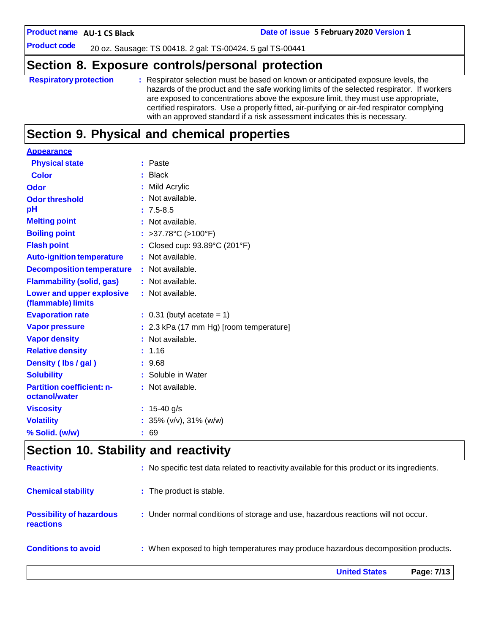**AU-1 CS Black Date of issue 5 February 2020 Version 1**

**Product code**

20 oz. Sausage: TS 00418. 2 gal: TS-00424. 5 gal TS-00441

### **Section 8. Exposure controls/personal protection**

| <b>Respiratory protection</b> | : Respirator selection must be based on known or anticipated exposure levels, the<br>hazards of the product and the safe working limits of the selected respirator. If workers<br>are exposed to concentrations above the exposure limit, they must use appropriate,<br>certified respirators. Use a properly fitted, air-purifying or air-fed respirator complying<br>with an approved standard if a risk assessment indicates this is necessary. |
|-------------------------------|----------------------------------------------------------------------------------------------------------------------------------------------------------------------------------------------------------------------------------------------------------------------------------------------------------------------------------------------------------------------------------------------------------------------------------------------------|
|                               |                                                                                                                                                                                                                                                                                                                                                                                                                                                    |

# **Section 9. Physical and chemical properties**

| <b>Appearance</b>                               |                                         |
|-------------------------------------------------|-----------------------------------------|
| <b>Physical state</b>                           | : Paste                                 |
| <b>Color</b>                                    | <b>Black</b><br>÷                       |
| <b>Odor</b>                                     | Mild Acrylic<br>÷                       |
| <b>Odor threshold</b>                           | Not available.<br>٠                     |
| рH                                              | $: 7.5 - 8.5$                           |
| <b>Melting point</b>                            | Not available.                          |
| <b>Boiling point</b>                            | >37.78°C (>100°F)                       |
| <b>Flash point</b>                              | Closed cup: 93.89°C (201°F)             |
| <b>Auto-ignition temperature</b>                | : Not available.                        |
| <b>Decomposition temperature</b>                | : Not available.                        |
| <b>Flammability (solid, gas)</b>                | : Not available.                        |
| Lower and upper explosive<br>(flammable) limits | : Not available.                        |
| <b>Evaporation rate</b>                         | $: 0.31$ (butyl acetate = 1)            |
| <b>Vapor pressure</b>                           | : 2.3 kPa (17 mm Hg) [room temperature] |
| <b>Vapor density</b>                            | Not available.                          |
| <b>Relative density</b>                         | 1.16                                    |
| Density (lbs / gal)                             | : 9.68                                  |
| <b>Solubility</b>                               | : Soluble in Water                      |
| <b>Partition coefficient: n-</b>                | : Not available.                        |
| octanol/water                                   |                                         |
| <b>Viscosity</b>                                | : $15-40$ g/s                           |
| <b>Volatility</b>                               | : $35\%$ (v/v), $31\%$ (w/w)            |
| % Solid. (w/w)                                  | : 69                                    |
|                                                 |                                         |

## **Section 10. Stability and reactivity**

|                                                     | <b>United States</b><br>Page: 7/13                                                           |
|-----------------------------------------------------|----------------------------------------------------------------------------------------------|
| <b>Conditions to avoid</b>                          | : When exposed to high temperatures may produce hazardous decomposition products.            |
| <b>Possibility of hazardous</b><br><b>reactions</b> | : Under normal conditions of storage and use, hazardous reactions will not occur.            |
| <b>Chemical stability</b>                           | : The product is stable.                                                                     |
| <b>Reactivity</b>                                   | : No specific test data related to reactivity available for this product or its ingredients. |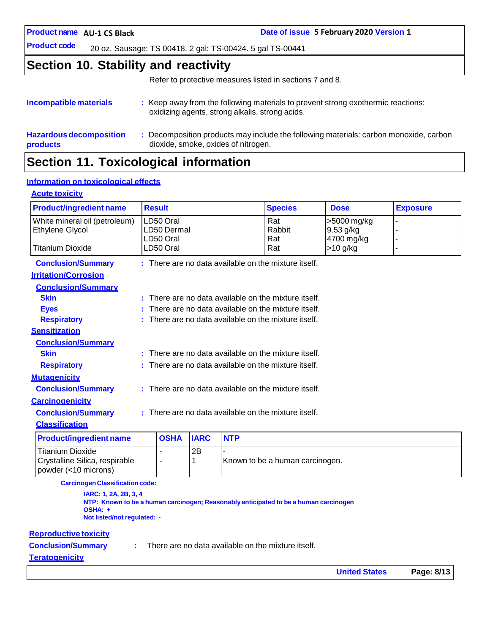**AU-1 CS Black Date of issue 5 February 2020 Version 1**

**Product code** 20 oz. Sausage: TS 00418. 2 gal: TS-00424. 5 gal TS-00441

### **Section 10. Stability and reactivity**

Refer to protective measures listed in sections 7 and 8.

#### **Incompatible materials :** Keep away from the following materials to prevent strong exothermic reactions: oxidizing agents, strong alkalis, strong acids. **Hazardous decomposition products :** Decomposition products may include the following materials: carbon monoxide, carbon dioxide, smoke, oxides of nitrogen.

### **Section 11. Toxicological information**

### **Information on toxicological effects**

#### **Acute toxicity**

| <b>Product/ingredient name</b> |                                                      | <b>Result</b> |             |            | <b>Species</b>                                         | <b>Dose</b> | <b>Exposure</b> |
|--------------------------------|------------------------------------------------------|---------------|-------------|------------|--------------------------------------------------------|-------------|-----------------|
| White mineral oil (petroleum)  |                                                      | LD50 Oral     |             |            | Rat                                                    | >5000 mg/kg |                 |
| Ethylene Glycol                |                                                      | LD50 Dermal   |             |            | Rabbit                                                 | 9.53 g/kg   |                 |
|                                |                                                      | LD50 Oral     |             |            | Rat                                                    | 4700 mg/kg  |                 |
| <b>Titanium Dioxide</b>        |                                                      | LD50 Oral     |             |            | Rat                                                    | $>10$ g/kg  |                 |
| <b>Conclusion/Summary</b>      |                                                      |               |             |            | $:$ There are no data available on the mixture itself. |             |                 |
| <b>Irritation/Corrosion</b>    |                                                      |               |             |            |                                                        |             |                 |
| <b>Conclusion/Summary</b>      |                                                      |               |             |            |                                                        |             |                 |
| <b>Skin</b>                    |                                                      |               |             |            | : There are no data available on the mixture itself.   |             |                 |
| <b>Eyes</b>                    |                                                      |               |             |            | : There are no data available on the mixture itself.   |             |                 |
| <b>Respiratory</b>             |                                                      |               |             |            | : There are no data available on the mixture itself.   |             |                 |
| <b>Sensitization</b>           |                                                      |               |             |            |                                                        |             |                 |
| <b>Conclusion/Summary</b>      |                                                      |               |             |            |                                                        |             |                 |
| <b>Skin</b>                    |                                                      |               |             |            | : There are no data available on the mixture itself.   |             |                 |
| <b>Respiratory</b>             |                                                      |               |             |            | $:$ There are no data available on the mixture itself. |             |                 |
| <b>Mutagenicity</b>            |                                                      |               |             |            |                                                        |             |                 |
| <b>Conclusion/Summary</b>      |                                                      |               |             |            | : There are no data available on the mixture itself.   |             |                 |
| <b>Carcinogenicity</b>         |                                                      |               |             |            |                                                        |             |                 |
| <b>Conclusion/Summary</b>      | : There are no data available on the mixture itself. |               |             |            |                                                        |             |                 |
| <b>Classification</b>          |                                                      |               |             |            |                                                        |             |                 |
| <b>Product/ingredient name</b> |                                                      | <b>OSHA</b>   | <b>IARC</b> | <b>NTP</b> |                                                        |             |                 |
| <b>Titanium Dioxide</b>        |                                                      |               | 2B          |            |                                                        |             |                 |
| Crystalline Silica, respirable |                                                      | ۰             | 1           |            | Known to be a human carcinogen.                        |             |                 |

**CarcinogenClassificationcode:**

**IARC: 1, 2A, 2B, 3, 4 NTP: Known to be a human carcinogen; Reasonably anticipated to be a human carcinogen OSHA: + Not listed/not regulated: -**

#### **Reproductive toxicity**

powder (<10 microns)

**Conclusion/Summary :**

There are no data available on the mixture itself.

#### **Teratogenicity**

**United States Page: 8/13**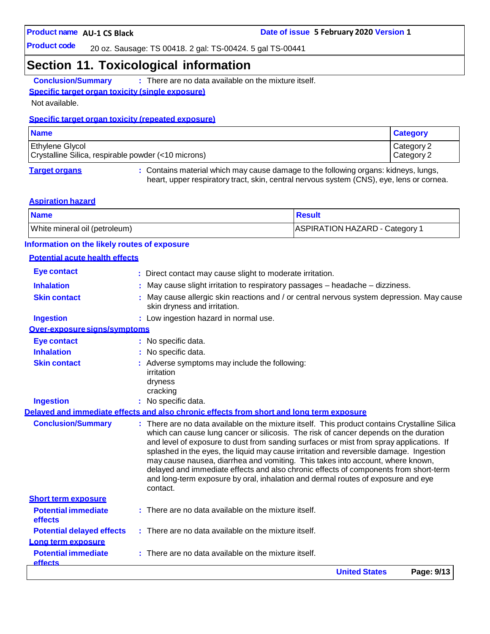**Product code**

20 oz. Sausage: TS 00418. 2 gal: TS-00424. 5 gal TS-00441

### **Section 11. Toxicological information**

**Conclusion/Summary :** There are no data available on the mixture itself.

### **Specific target organ toxicity (single exposure)**

Not available.

#### **Specific target organ toxicity (repeated exposure)**

| <b>Name</b>                                                                   | <b>Category</b>          |
|-------------------------------------------------------------------------------|--------------------------|
| <b>Ethylene Glycol</b><br>Crystalline Silica, respirable powder (<10 microns) | Category 2<br>Category 2 |
|                                                                               |                          |

**Target organs :** Contains material which may cause damage to the following organs: kidneys, lungs, heart, upper respiratory tract, skin, central nervous system (CNS), eye, lens or cornea.

#### **Aspiration hazard**

| <b>Name</b>                   | <b>Result</b>                  |
|-------------------------------|--------------------------------|
| White mineral oil (petroleum) | ASPIRATION HAZARD - Category 1 |

### **Information on the likely routes of exposure**

#### **Potential acute health effects**

|                                                          | <b>United States</b><br>Page: 9/13                                                                                                                                                                                                                                                                                                                                                                                                                           |
|----------------------------------------------------------|--------------------------------------------------------------------------------------------------------------------------------------------------------------------------------------------------------------------------------------------------------------------------------------------------------------------------------------------------------------------------------------------------------------------------------------------------------------|
| <b>Potential immediate</b><br><b>effects</b>             | There are no data available on the mixture itself.                                                                                                                                                                                                                                                                                                                                                                                                           |
| Long term exposure                                       |                                                                                                                                                                                                                                                                                                                                                                                                                                                              |
| <b>Potential delayed effects</b>                         | : There are no data available on the mixture itself.                                                                                                                                                                                                                                                                                                                                                                                                         |
| effects                                                  |                                                                                                                                                                                                                                                                                                                                                                                                                                                              |
| <b>Short term exposure</b><br><b>Potential immediate</b> | $:$ There are no data available on the mixture itself.                                                                                                                                                                                                                                                                                                                                                                                                       |
|                                                          | delayed and immediate effects and also chronic effects of components from short-term<br>and long-term exposure by oral, inhalation and dermal routes of exposure and eye<br>contact.                                                                                                                                                                                                                                                                         |
| <b>Conclusion/Summary</b>                                | : There are no data available on the mixture itself. This product contains Crystalline Silica<br>which can cause lung cancer or silicosis. The risk of cancer depends on the duration<br>and level of exposure to dust from sanding surfaces or mist from spray applications. If<br>splashed in the eyes, the liquid may cause irritation and reversible damage. Ingestion<br>may cause nausea, diarrhea and vomiting. This takes into account, where known, |
|                                                          | Delayed and immediate effects and also chronic effects from short and long term exposure                                                                                                                                                                                                                                                                                                                                                                     |
| <b>Ingestion</b>                                         | : No specific data.                                                                                                                                                                                                                                                                                                                                                                                                                                          |
|                                                          | dryness<br>cracking                                                                                                                                                                                                                                                                                                                                                                                                                                          |
| <b>Skin contact</b>                                      | : Adverse symptoms may include the following:<br>irritation                                                                                                                                                                                                                                                                                                                                                                                                  |
| <b>Inhalation</b>                                        | No specific data.                                                                                                                                                                                                                                                                                                                                                                                                                                            |
| <b>Eye contact</b>                                       | : No specific data.                                                                                                                                                                                                                                                                                                                                                                                                                                          |
| Over-exposure signs/symptoms                             |                                                                                                                                                                                                                                                                                                                                                                                                                                                              |
| <b>Ingestion</b>                                         | : Low ingestion hazard in normal use.                                                                                                                                                                                                                                                                                                                                                                                                                        |
| <b>Skin contact</b>                                      | May cause allergic skin reactions and / or central nervous system depression. May cause<br>skin dryness and irritation.                                                                                                                                                                                                                                                                                                                                      |
| <b>Inhalation</b>                                        | May cause slight irritation to respiratory passages - headache - dizziness.                                                                                                                                                                                                                                                                                                                                                                                  |
| <b>Eye contact</b>                                       | : Direct contact may cause slight to moderate irritation.                                                                                                                                                                                                                                                                                                                                                                                                    |
|                                                          |                                                                                                                                                                                                                                                                                                                                                                                                                                                              |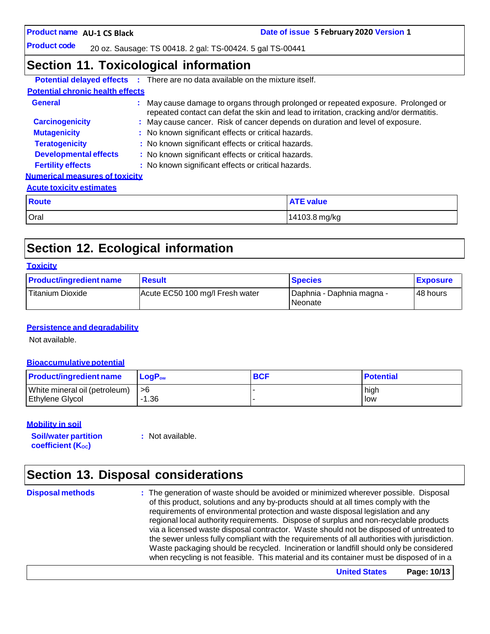**Date of issue 5 February 2020 Version 1** 

**Product code**

20 oz. Sausage: TS 00418. 2 gal: TS-00424. 5 gal TS-00441

### **Section 11. Toxicological information**

|                                         | <b>Potential delayed effects :</b> There are no data available on the mixture itself.                                                                                        |                  |  |
|-----------------------------------------|------------------------------------------------------------------------------------------------------------------------------------------------------------------------------|------------------|--|
| <b>Potential chronic health effects</b> |                                                                                                                                                                              |                  |  |
| <b>General</b>                          | : May cause damage to organs through prolonged or repeated exposure. Prolonged or<br>repeated contact can defat the skin and lead to irritation, cracking and/or dermatitis. |                  |  |
| <b>Carcinogenicity</b>                  | : May cause cancer. Risk of cancer depends on duration and level of exposure.                                                                                                |                  |  |
| <b>Mutagenicity</b>                     | : No known significant effects or critical hazards.                                                                                                                          |                  |  |
| <b>Teratogenicity</b>                   | : No known significant effects or critical hazards.                                                                                                                          |                  |  |
| <b>Developmental effects</b>            | : No known significant effects or critical hazards.                                                                                                                          |                  |  |
| <b>Fertility effects</b>                | : No known significant effects or critical hazards.                                                                                                                          |                  |  |
| <b>Numerical measures of toxicity</b>   |                                                                                                                                                                              |                  |  |
| <b>Acute toxicity estimates</b>         |                                                                                                                                                                              |                  |  |
| <b>Route</b>                            |                                                                                                                                                                              | <b>ATE value</b> |  |
| Oral                                    |                                                                                                                                                                              | 14103.8 mg/kg    |  |

# **Section 12. Ecological information**

#### **Toxicity**

| <b>Product/ingredient name</b> | <b>Result</b>                   | <b>Species</b>                         | <b>Exposure</b> |
|--------------------------------|---------------------------------|----------------------------------------|-----------------|
| Titanium Dioxide               | Acute EC50 100 mg/l Fresh water | I Daphnia - Daphnia magna -<br>Neonate | 48 hours        |

#### **Persistence and degradability**

Not available.

#### **Bioaccumulative potential**

| <b>Product/ingredient name</b> | $LoaPow$ | <b>BCF</b> | <b>Potential</b> |
|--------------------------------|----------|------------|------------------|
| White mineral oil (petroleum)  | l >6     |            | high             |
| Ethylene Glycol                | -1.36    |            | low              |

#### **Mobility in soil**

**Soil/water partition coefficient** (K<sub>oc</sub>)

**:** Not available.

## **Section 13. Disposal considerations**

**Disposal methods :** The generation of waste should be avoided or minimized wherever possible. Disposal of this product, solutions and any by-products should at all times comply with the requirements of environmental protection and waste disposal legislation and any regional local authority requirements. Dispose of surplus and non-recyclable products via a licensed waste disposal contractor. Waste should not be disposed of untreated to the sewer unless fully compliant with the requirements of all authorities with jurisdiction. Waste packaging should be recycled. Incineration or landfill should only be considered when recycling is not feasible. This material and its container must be disposed of in a

**United States Page: 10/13**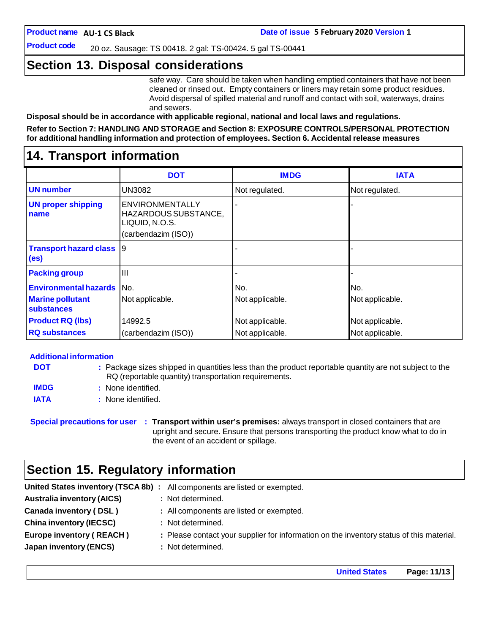**Product code**

20 oz. Sausage: TS 00418. 2 gal: TS-00424. 5 gal TS-00441

### **Section 13. Disposal considerations**

safe way. Care should be taken when handling emptied containers that have not been cleaned or rinsed out. Empty containers or liners may retain some product residues. Avoid dispersal of spilled material and runoff and contact with soil, waterways, drains and sewers.

**Disposal should be in accordance with applicable regional, national and local laws and regulations.**

**Refer to Section 7: HANDLING AND STORAGE and Section 8: EXPOSURE CONTROLS/PERSONAL PROTECTION for additional handling information and protection of employees. Section 6. Accidental release measures**

### **14. Transport information**

|                                                      | <b>DOT</b>                                                                       | <b>IMDG</b>     | <b>IATA</b>     |
|------------------------------------------------------|----------------------------------------------------------------------------------|-----------------|-----------------|
| <b>UN</b> number                                     | <b>UN3082</b>                                                                    | Not regulated.  | Not regulated.  |
| <b>UN proper shipping</b><br>name                    | ENVIRONMENTALLY<br>HAZARDOUS SUBSTANCE,<br>LIQUID, N.O.S.<br>(carbendazim (ISO)) |                 |                 |
| <b>Transport hazard class</b> 9<br>(e <sub>s</sub> ) |                                                                                  |                 |                 |
| <b>Packing group</b>                                 | Ш                                                                                |                 |                 |
| <b>Environmental hazards</b>                         | IN <sub>O</sub> .                                                                | No.             | No.             |
| <b>Marine pollutant</b><br>substances                | Not applicable.                                                                  | Not applicable. | Not applicable. |
| <b>Product RQ (lbs)</b>                              | 14992.5                                                                          | Not applicable. | Not applicable. |
| <b>RQ substances</b>                                 | (carbendazim (ISO))                                                              | Not applicable. | Not applicable. |

### **Additional information**

| <b>DOT</b>  | : Package sizes shipped in quantities less than the product reportable quantity are not subject to the<br>RQ (reportable quantity) transportation requirements. |
|-------------|-----------------------------------------------------------------------------------------------------------------------------------------------------------------|
| <b>IMDG</b> | : None identified.                                                                                                                                              |
| <b>IATA</b> | : None identified.                                                                                                                                              |

**Special precautions for user : Transport within user's premises:** always transport in closed containers that are upright and secure. Ensure that persons transporting the product know what to do in the event of an accident or spillage.

### **Section 15. Regulatory information**

|                                   | United States inventory (TSCA 8b) : All components are listed or exempted.               |
|-----------------------------------|------------------------------------------------------------------------------------------|
| <b>Australia inventory (AICS)</b> | : Not determined.                                                                        |
| Canada inventory (DSL)            | : All components are listed or exempted.                                                 |
| <b>China inventory (IECSC)</b>    | : Not determined.                                                                        |
| <b>Europe inventory (REACH)</b>   | : Please contact your supplier for information on the inventory status of this material. |
| <b>Japan inventory (ENCS)</b>     | : Not determined.                                                                        |
|                                   |                                                                                          |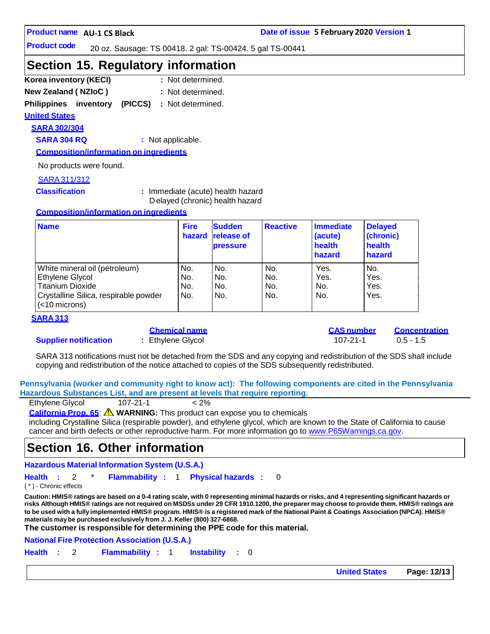#### **Product code**

20 oz. Sausage: TS 00418. 2 gal: TS-00424. 5 gal TS-00441

### **Section 15. Regulatory information**

- **Korea inventory (KECI) :** : Not determined.
- **New Zealand ( NZIoC ) :** : Not determined.

**Philippines inventory (PICCS) :** Not determined.

### **United States**

**SARA 302/304**

**SARA 304 RQ :** Not applicable.

**Composition/information on ingredients**

No products were found.

### SARA311/312

**Classification :** Immediate (acute) health hazard D elayed (chronic) health hazard

#### **Composition/information on ingredients**

| <b>Name</b>                                               | <b>Fire</b><br>hazard | <b>Sudden</b><br><b>release of</b><br><b>pressure</b> | <b>Reactive</b> | Immediate<br>(acute)<br>health<br>hazard | <b>Delayed</b><br>(chronic)<br>health<br>hazard |
|-----------------------------------------------------------|-----------------------|-------------------------------------------------------|-----------------|------------------------------------------|-------------------------------------------------|
| White mineral oil (petroleum)                             | No.                   | No.                                                   | No.             | Yes.                                     | No.                                             |
| Ethylene Glycol                                           | No.                   | No.                                                   | No.             | Yes.                                     | Yes.                                            |
| <b>Titanium Dioxide</b>                                   | No.                   | No.                                                   | No.             | No.                                      | Yes.                                            |
| Crystalline Silica, respirable powder<br>$(<$ 10 microns) | No.                   | No.                                                   | No.             | No.                                      | Yes.                                            |

#### **SARA 313**

#### **Supplier notification :** Ethylene Glycol 107-21-1 0.5 - 1.5

|  | <u>Chemical name</u> |  |
|--|----------------------|--|
|  | Ethylene Glycol      |  |

**Chemical name CAS number Concentration**

SARA 313 notifications must not be detached from the SDS and any copying and redistribution of the SDS shall include copying and redistribution of the notice attached to copies of the SDS subsequently redistributed.

**Pennsylvania (worker and community right to know act): The following components are cited in the Pennsylvania Hazardous Substances List, and are present at levels that require reporting.**

| Ethylene Glycol<br>$107 - 21 - 1$<br>$< 2\%$ |  |
|----------------------------------------------|--|
|----------------------------------------------|--|

**California Prop. 65**: **WARNING:** This product can expose you to chemicals

including Crystalline Silica (respirable powder), and ethylene glycol, which are known to the State of California to cause cancer and birth defects or other reproductive harm. For more information go to [www.P65Warnings.ca.gov.](http://www.p65warnings.ca.gov/)

### **Section 16. Other information**

**Hazardous Material Information System (U.S.A.)**

**Health :** 2 \* **Flammability :** 1 **Physical hazards :** 0

( \* ) - Chronic effects

Caution: HMIS® ratings are based on a 0-4 rating scale, with 0 representing minimal hazards or risks, and 4 representing significant hazards or risks Although HMIS® ratings are not required on MSDSs under 29 CFR 1910.1200, the preparer may choose to provide them. HMIS® ratings are to be used with a fully implemented HMIS® program. HMIS® is a registered mark of the National Paint & Coatings Association (NPCA). HMIS® **materials maybe purchased exclusively from J. J. Keller (800) 327-6868.**

**The customer is responsible for determining the PPE code for this material.**

**National Fire Protection Association (U.S.A.)**

**Health :** 2 **Flammability :** 1 **Instability :** 0

**United States Page: 12/13**